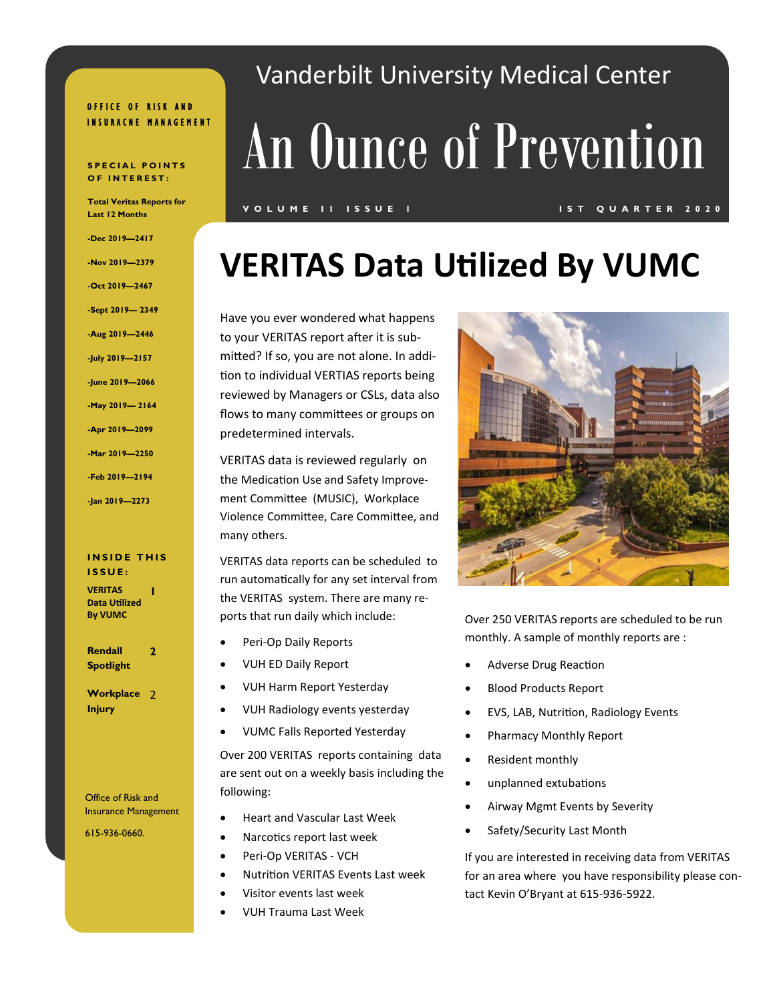#### OFFICE OF RISK AND INSURACNE MANAGEMENT

#### **SPECIAL POINTS O F I N T E R E S T :**

**Total Veritas Reports for Last 12 Months**

**-Dec 2019—2417 -Nov 2019—2379 -Oct 2019—2467 -Sept 2019— 2349 -Aug 2019—2446 -July 2019—2157 -June 2019—2066 -May 2019— 2164 -Apr 2019—2099 -Mar 2019—2250 -Feb 2019—2194 -Jan 2019—2273**

#### **INSIDE THIS I S S U E :**

**VERITAS Data Utilized By VUMC 1**

**Rendall Spotlight 2**

**Workplace**  2 **Injury**

Office of Risk and Insurance Management

615-936-0660.

## Vanderbilt University Medical Center

# An Ounce of Prevention

#### **V O L U M E I 1 I S S U E 1 I S T Q U A R T E R 2 0 2 0**

## **VERITAS Data Utilized By VUMC**

Have you ever wondered what happens to your VERITAS report after it is submitted? If so, you are not alone. In addition to individual VERTIAS reports being reviewed by Managers or CSLs, data also flows to many committees or groups on predetermined intervals.

VERITAS data is reviewed regularly on the Medication Use and Safety Improvement Committee (MUSIC), Workplace Violence Committee, Care Committee, and many others.

VERITAS data reports can be scheduled to run automatically for any set interval from the VERITAS system. There are many reports that run daily which include:

- Peri-Op Daily Reports
- VUH ED Daily Report
- VUH Harm Report Yesterday
- VUH Radiology events yesterday
- VUMC Falls Reported Yesterday

Over 200 VERITAS reports containing data are sent out on a weekly basis including the following:

- Heart and Vascular Last Week
- Narcotics report last week
- Peri-Op VERITAS VCH
- Nutrition VERITAS Events Last week
- Visitor events last week
- VUH Trauma Last Week



Over 250 VERITAS reports are scheduled to be run monthly. A sample of monthly reports are :

- Adverse Drug Reaction
- Blood Products Report
- EVS, LAB, Nutrition, Radiology Events
- Pharmacy Monthly Report
- Resident monthly
- unplanned extubations
- Airway Mgmt Events by Severity
- Safety/Security Last Month

If you are interested in receiving data from VERITAS for an area where you have responsibility please contact Kevin O'Bryant at 615-936-5922.